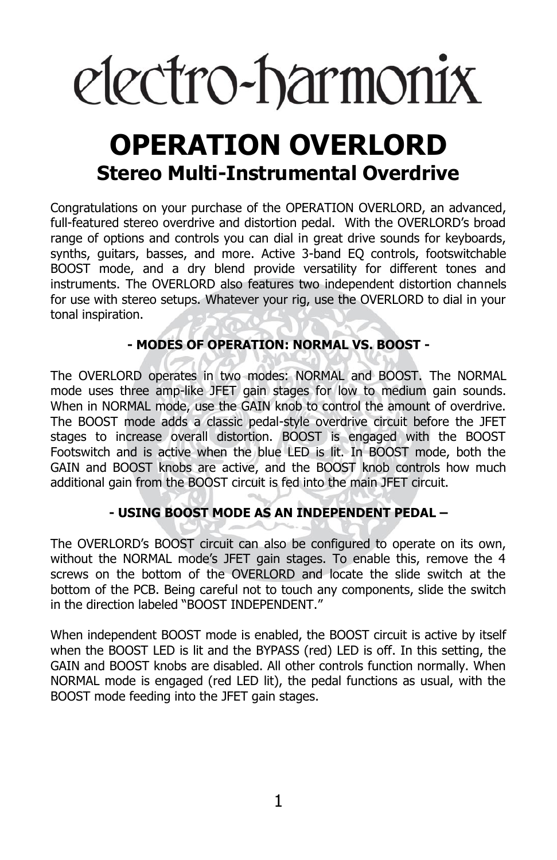# electro-harmonix

# **OPERATION OVERLORD Stereo Multi-Instrumental Overdrive**

Congratulations on your purchase of the OPERATION OVERLORD, an advanced, full-featured stereo overdrive and distortion pedal. With the OVERLORD's broad range of options and controls you can dial in great drive sounds for keyboards, synths, guitars, basses, and more. Active 3-band EQ controls, footswitchable BOOST mode, and a dry blend provide versatility for different tones and instruments. The OVERLORD also features two independent distortion channels for use with stereo setups. Whatever your rig, use the OVERLORD to dial in your tonal inspiration.

## **- MODES OF OPERATION: NORMAL VS. BOOST -**

The OVERLORD operates in two modes: NORMAL and BOOST. The NORMAL mode uses three amp-like JFET gain stages for low to medium gain sounds. When in NORMAL mode, use the GAIN knob to control the amount of overdrive. The BOOST mode adds a classic pedal-style overdrive circuit before the JFET stages to increase overall distortion. BOOST is engaged with the BOOST Footswitch and is active when the blue LED is lit. In BOOST mode, both the GAIN and BOOST knobs are active, and the BOOST knob controls how much additional gain from the BOOST circuit is fed into the main JFET circuit.

### **- USING BOOST MODE AS AN INDEPENDENT PEDAL –**

The OVERLORD's BOOST circuit can also be configured to operate on its own, without the NORMAL mode's JFET gain stages. To enable this, remove the 4 screws on the bottom of the OVERLORD and locate the slide switch at the bottom of the PCB. Being careful not to touch any components, slide the switch in the direction labeled "BOOST INDEPENDENT."

When independent BOOST mode is enabled, the BOOST circuit is active by itself when the BOOST LED is lit and the BYPASS (red) LED is off. In this setting, the GAIN and BOOST knobs are disabled. All other controls function normally. When NORMAL mode is engaged (red LED lit), the pedal functions as usual, with the BOOST mode feeding into the JFET gain stages.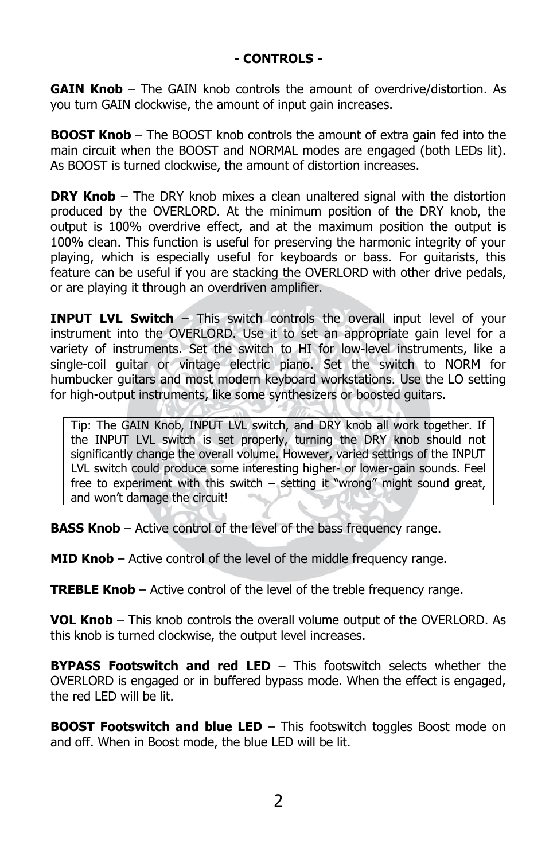**GAIN Knob** – The GAIN knob controls the amount of overdrive/distortion. As you turn GAIN clockwise, the amount of input gain increases.

**BOOST Knob** – The BOOST knob controls the amount of extra gain fed into the main circuit when the BOOST and NORMAL modes are engaged (both LEDs lit). As BOOST is turned clockwise, the amount of distortion increases.

**DRY Knob** – The DRY knob mixes a clean unaltered signal with the distortion produced by the OVERLORD. At the minimum position of the DRY knob, the output is 100% overdrive effect, and at the maximum position the output is 100% clean. This function is useful for preserving the harmonic integrity of your playing, which is especially useful for keyboards or bass. For guitarists, this feature can be useful if you are stacking the OVERLORD with other drive pedals, or are playing it through an overdriven amplifier.

**INPUT LVL Switch** – This switch controls the overall input level of your instrument into the OVERLORD. Use it to set an appropriate gain level for a variety of instruments. Set the switch to HI for low-level instruments, like a single-coil guitar or vintage electric piano. Set the switch to NORM for humbucker guitars and most modern keyboard workstations. Use the LO setting for high-output instruments, like some synthesizers or boosted guitars.

Tip: The GAIN Knob, INPUT LVL switch, and DRY knob all work together. If the INPUT LVL switch is set properly, turning the DRY knob should not significantly change the overall volume. However, varied settings of the INPUT LVL switch could produce some interesting higher- or lower-gain sounds. Feel free to experiment with this switch – setting it "wrong" might sound great, and won't damage the circuit!

**BASS Knob** – Active control of the level of the bass frequency range.

**MID Knob** – Active control of the level of the middle frequency range.

**TREBLE Knob** – Active control of the level of the treble frequency range.

**VOL Knob** – This knob controls the overall volume output of the OVERLORD. As this knob is turned clockwise, the output level increases.

**BYPASS Footswitch and red LED** – This footswitch selects whether the OVERLORD is engaged or in buffered bypass mode. When the effect is engaged, the red LED will be lit.

**BOOST Footswitch and blue LED** – This footswitch toggles Boost mode on and off. When in Boost mode, the blue LED will be lit.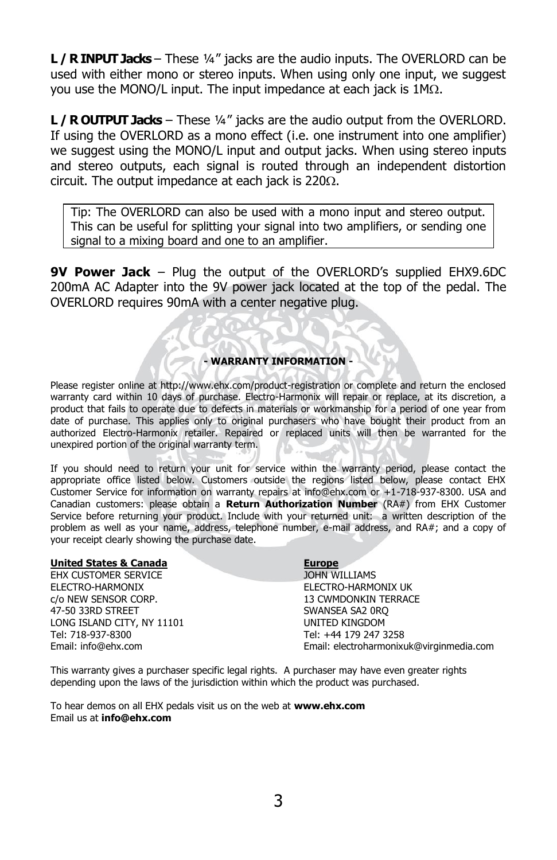**L / R INPUT Jacks** – These ¼" jacks are the audio inputs. The OVERLORD can be used with either mono or stereo inputs. When using only one input, we suggest you use the MONO/L input. The input impedance at each jack is  $1M<sub>\Omega</sub>$ .

**L / R OUTPUT Jacks** – These ¼" jacks are the audio output from the OVERLORD. If using the OVERLORD as a mono effect (i.e. one instrument into one amplifier) we suggest using the MONO/L input and output jacks. When using stereo inputs and stereo outputs, each signal is routed through an independent distortion circuit. The output impedance at each jack is  $220\Omega$ .

Tip: The OVERLORD can also be used with a mono input and stereo output. This can be useful for splitting your signal into two amplifiers, or sending one signal to a mixing board and one to an amplifier.

**9V Power Jack** – Plug the output of the OVERLORD's supplied EHX9.6DC 200mA AC Adapter into the 9V power jack located at the top of the pedal. The OVERLORD requires 90mA with a center negative plug.

#### **- WARRANTY INFORMATION -**

Please register online at http://www.ehx.com/product-registration or complete and return the enclosed warranty card within 10 days of purchase. Electro-Harmonix will repair or replace, at its discretion, a product that fails to operate due to defects in materials or workmanship for a period of one year from date of purchase. This applies only to original purchasers who have bought their product from an authorized Electro-Harmonix retailer. Repaired or replaced units will then be warranted for the unexpired portion of the original warranty term.

If you should need to return your unit for service within the warranty period, please contact the appropriate office listed below. Customers outside the regions listed below, please contact EHX Customer Service for information on warranty repairs at info@ehx.com or +1-718-937-8300. USA and Canadian customers: please obtain a **Return Authorization Number** (RA#) from EHX Customer Service before returning your product. Include with your returned unit: a written description of the problem as well as your name, address, telephone number, e-mail address, and RA#; and a copy of your receipt clearly showing the purchase date.

| <b>United States &amp; Canada</b> | <b>Europe</b>                            |
|-----------------------------------|------------------------------------------|
| EHX CUSTOMER SERVICE              | JOHN WILLIAMS                            |
| ELECTRO-HARMONIX                  | ELECTRO-HARMONIX UK                      |
| c/o NEW SENSOR CORP.              | <b>13 CWMDONKIN TERRACE</b>              |
| 47-50 33RD STREET                 | SWANSEA SA2 0RO                          |
| LONG ISLAND CITY, NY 11101        | UNITED KINGDOM                           |
| Tel: 718-937-8300                 | Tel: +44 179 247 3258                    |
| Email: info@ehx.com               | Email: electroharmonixuk@virginmedia.com |

This warranty gives a purchaser specific legal rights. A purchaser may have even greater rights depending upon the laws of the jurisdiction within which the product was purchased.

To hear demos on all EHX pedals visit us on the web at **www.ehx.com** Email us at **info@ehx.com**